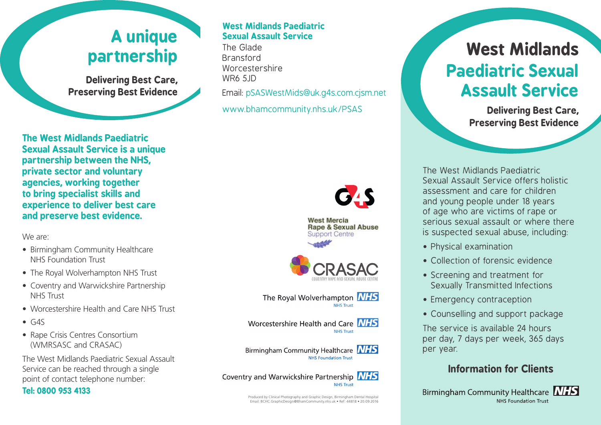# **A unique partnership**

**Delivering Best Care, Preserving Best Evidence**

**The West Midlands Paediatric Sexual Assault Service is a unique partnership between the NHS, private sector and voluntary agencies, working together to bring specialist skills and experience to deliver best care and preserve best evidence.**

We are:

- Birmingham Community Healthcare NHS Foundation Trust
- The Royal Wolverhampton NHS Trust
- Coventry and Warwickshire Partnership NHS Trust
- Worcestershire Health and Care NHS Trust
- $\bullet$  G4S
- Rape Crisis Centres Consortium (WMRSASC and CRASAC)

The West Midlands Paediatric Sexual Assault Service can be reached through a single point of contact telephone number:

### **Tel: 0800 953 4133**

### **West Midlands Paediatric Sexual Assault Service**

The Glade Bransford Worcestershire WR6 5JD Email: pSASWestMids@uk.g4s.com.cjsm.net

www.bhamcommunity.nhs.uk/PSAS



**West Mercia Rape & Sexual Abuse Support Centre** 





Worcestershire Health and Care NHS **NHS Trust** 

Birmingham Community Healthcare **NHS** NHS Foundation Trust



Produced by Clinical Photography and Graphic Design, Birmingham Dental Hospital Email: BCHC.GraphicDesign@BhamCommunity.nhs.uk • Ref: 44818 • 20.09.2016

# **West Midlands Paediatric Sexual Assault Service**

**Delivering Best Care, Preserving Best Evidence**

The West Midlands Paediatric Sexual Assault Service offers holistic assessment and care for children and young people under 18 years of age who are victims of rape or serious sexual assault or where there is suspected sexual abuse, including:

- Physical examination
- Collection of forensic evidence
- Screening and treatment for Sexually Transmitted Infections
- Emergency contraception
- Counselling and support package

The service is available 24 hours per day, 7 days per week, 365 days per year.

# **Information for Clients**

Birmingham Community Healthcare **NHS** NHS Foundation Trust